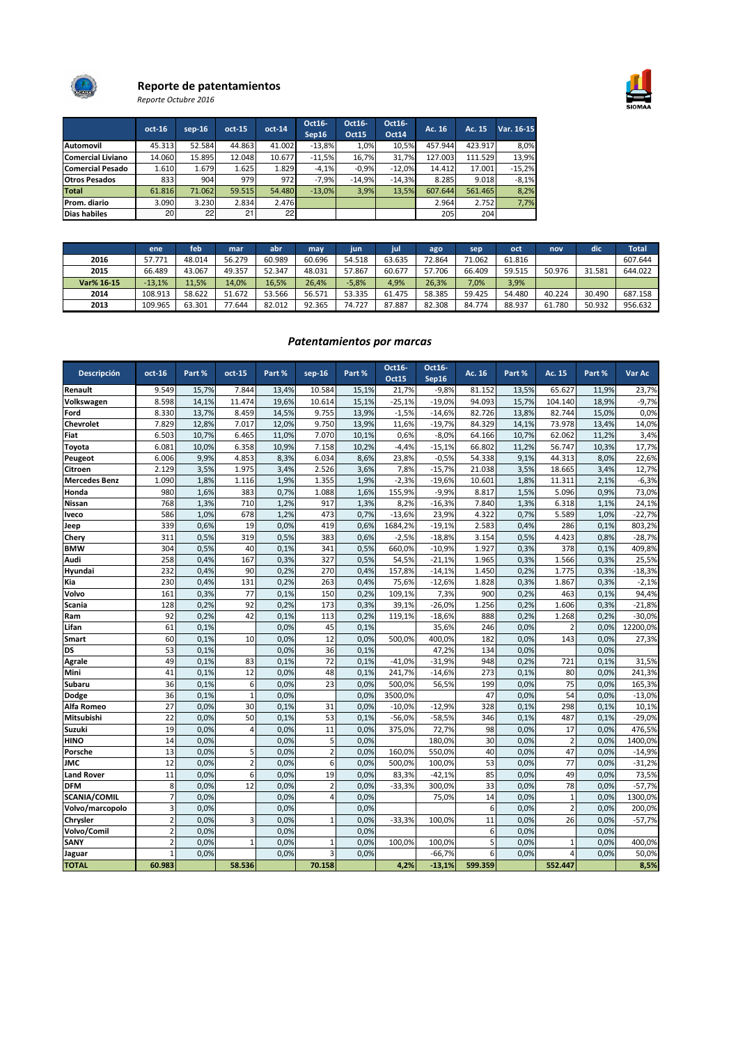



# Reporte de patentamientos

Reporte Octubre 2016

|                         | oct-16 | $sep-16$ | $oct-15$ | $oct-14$ | Oct16-<br>Sep16 | Oct16-<br><b>Oct15</b> | Oct16-<br><b>Oct14</b> | Ac. 16  | Ac. 15  | Var. 16-15 |
|-------------------------|--------|----------|----------|----------|-----------------|------------------------|------------------------|---------|---------|------------|
| <b>Automovil</b>        | 45.313 | 52.584   | 44.863   | 41.002   | $-13.8%$        | 1,0%                   | 10.5%                  | 457.944 | 423.917 | 8,0%       |
| Comercial Liviano       | 14.060 | 15.895   | 12.048   | 10.677   | $-11.5%$        | 16,7%                  | 31.7%                  | 127.003 | 111.529 | 13,9%      |
| <b>Comercial Pesado</b> | 1.610  | 1.679    | 1.625    | 1.829    | $-4,1%$         | $-0.9%$                | $-12.0%$               | 14.412  | 17.001  | $-15,2%$   |
| <b>Otros Pesados</b>    | 833    | 904      | 979      | 972      | $-7.9%$         | $-14.9%$               | $-14.3%$               | 8.285   | 9.018   | $-8,1%$    |
| Total                   | 61.816 | 71.062   | 59.515   | 54.480   | $-13.0%$        | 3,9%                   | 13.5%                  | 607.644 | 561.465 | 8,2%       |
| Prom. diario            | 3.090  | 3.230    | 2.834    | 2.476    |                 |                        |                        | 2.964   | 2.752   | 7,7%       |
| Dias habiles            | 20     | 221      | 21       | 22       |                 |                        |                        | 205     | 204     |            |

|            | ene      | feb    | mar    | abr    | may    | iun     | <b>Tiul</b> | ago    | sep    | oct    | nov    | dic    | <b>Total</b> |
|------------|----------|--------|--------|--------|--------|---------|-------------|--------|--------|--------|--------|--------|--------------|
| 2016       | 57.771   | 48.014 | 56.279 | 60.989 | 60.696 | 54.518  | 63.635      | 72.864 | 71.062 | 61.816 |        |        | 607.644      |
| 2015       | 66.489   | 43.067 | 49.357 | 52.347 | 48.031 | 57.867  | 60.677      | 57.706 | 66.409 | 59.515 | 50.976 | 31.581 | 644.022      |
| Var% 16-15 | $-13,1%$ | 11,5%  | 14.0%  | 16,5%  | 26.4%  | $-5,8%$ | 4,9%        | 26,3%  | 7,0%   | 3,9%   |        |        |              |
| 2014       | 108.913  | 58.622 | 51.672 | 53.566 | 56.571 | 53.335  | 61.475      | 58.385 | 59.425 | 54.480 | 40.224 | 30.490 | 687.158      |
| 2013       | 109.965  | 63.301 | 77.644 | 82.012 | 92.365 | 74.727  | 87.887      | 82.308 | 84.774 | 88.937 | 61.780 | 50.932 | 956.632      |

## Patentamientos por marcas

| <b>Descripción</b>   | $oct-16$        | Part % | oct-15         | Part % | $sep-16$       | Part % | Oct16-<br>Oct15 | Oct16-<br>Sep16 | Ac. 16  | Part % | Ac. 15         | Part % | Var Ac   |
|----------------------|-----------------|--------|----------------|--------|----------------|--------|-----------------|-----------------|---------|--------|----------------|--------|----------|
| Renault              | 9.549           | 15,7%  | 7.844          | 13,4%  | 10.584         | 15,1%  | 21,7%           | $-9,8%$         | 81.152  | 13,5%  | 65.627         | 11,9%  | 23,7%    |
| Volkswagen           | 8.598           | 14,1%  | 11.474         | 19,6%  | 10.614         | 15,1%  | $-25,1%$        | $-19,0%$        | 94.093  | 15,7%  | 104.140        | 18,9%  | $-9,7%$  |
| Ford                 | 8.330           | 13,7%  | 8.459          | 14,5%  | 9.755          | 13,9%  | $-1,5%$         | $-14,6%$        | 82.726  | 13,8%  | 82.744         | 15,0%  | 0,0%     |
| Chevrolet            | 7.829           | 12,8%  | 7.017          | 12,0%  | 9.750          | 13,9%  | 11,6%           | $-19,7%$        | 84.329  | 14,1%  | 73.978         | 13,4%  | 14,0%    |
| Fiat                 | 6.503           | 10,7%  | 6.465          | 11,0%  | 7.070          | 10,1%  | 0,6%            | $-8,0%$         | 64.166  | 10,7%  | 62.062         | 11,2%  | 3,4%     |
| Toyota               | 6.081           | 10,0%  | 6.358          | 10,9%  | 7.158          | 10,2%  | $-4,4%$         | $-15,1%$        | 66.802  | 11,2%  | 56.747         | 10,3%  | 17,7%    |
| Peugeot              | 6.006           | 9,9%   | 4.853          | 8,3%   | 6.034          | 8,6%   | 23,8%           | $-0.5%$         | 54.338  | 9,1%   | 44.313         | 8,0%   | 22,6%    |
| Citroen              | 2.129           | 3,5%   | 1.975          | 3,4%   | 2.526          | 3,6%   | 7,8%            | $-15,7%$        | 21.038  | 3,5%   | 18.665         | 3,4%   | 12,7%    |
| <b>Mercedes Benz</b> | 1.090           | 1,8%   | 1.116          | 1,9%   | 1.355          | 1,9%   | $-2,3%$         | $-19,6%$        | 10.601  | 1,8%   | 11.311         | 2,1%   | $-6,3%$  |
| Honda                | 980             | 1,6%   | 383            | 0,7%   | 1.088          | 1,6%   | 155,9%          | $-9,9%$         | 8.817   | 1,5%   | 5.096          | 0,9%   | 73,0%    |
| Nissan               | 768             | 1,3%   | 710            | 1,2%   | 917            | 1,3%   | 8,2%            | $-16,3%$        | 7.840   | 1,3%   | 6.318          | 1,1%   | 24,1%    |
| Iveco                | 586             | 1,0%   | 678            | 1,2%   | 473            | 0,7%   | $-13,6%$        | 23,9%           | 4.322   | 0,7%   | 5.589          | 1,0%   | $-22,7%$ |
| Jeep                 | 339             | 0,6%   | 19             | 0,0%   | 419            | 0,6%   | 1684,2%         | $-19,1%$        | 2.583   | 0,4%   | 286            | 0,1%   | 803,2%   |
| Chery                | 311             | 0,5%   | 319            | 0,5%   | 383            | 0.6%   | $-2,5%$         | $-18,8%$        | 3.154   | 0,5%   | 4.423          | 0,8%   | $-28,7%$ |
| <b>BMW</b>           | 304             | 0,5%   | 40             | 0,1%   | 341            | 0,5%   | 660,0%          | $-10,9%$        | 1.927   | 0,3%   | 378            | 0,1%   | 409,8%   |
| Audi                 | 258             | 0,4%   | 167            | 0,3%   | 327            | 0,5%   | 54,5%           | $-21,1%$        | 1.965   | 0,3%   | 1.566          | 0,3%   | 25,5%    |
| Hyundai              | 232             | 0,4%   | 90             | 0,2%   | 270            | 0,4%   | 157,8%          | $-14,1%$        | 1.450   | 0,2%   | 1.775          | 0,3%   | $-18,3%$ |
| Kia                  | 230             | 0,4%   | 131            | 0,2%   | 263            | 0,4%   | 75,6%           | $-12,6%$        | 1.828   | 0,3%   | 1.867          | 0,3%   | $-2,1%$  |
| Volvo                | 161             | 0,3%   | 77             | 0,1%   | 150            | 0,2%   | 109,1%          | 7,3%            | 900     | 0,2%   | 463            | 0,1%   | 94,4%    |
| Scania               | 128             | 0,2%   | 92             | 0,2%   | 173            | 0,3%   | 39,1%           | $-26,0%$        | 1.256   | 0,2%   | 1.606          | 0,3%   | $-21,8%$ |
| Ram                  | 92              | 0,2%   | 42             | 0.1%   | 113            | 0.2%   | 119,1%          | $-18,6%$        | 888     | 0,2%   | 1.268          | 0,2%   | $-30,0%$ |
| Lifan                | 61              | 0,1%   |                | 0,0%   | 45             | 0,1%   |                 | 35,6%           | 246     | 0.0%   |                | 0,0%   | 12200,0% |
| Smart                | 60              | 0,1%   | 10             | 0,0%   | 12             | 0,0%   | 500,0%          | 400,0%          | 182     | 0.0%   | 143            | 0,0%   | 27,3%    |
| DS                   | 53              | 0,1%   |                | 0,0%   | 36             | 0,1%   |                 | 47,2%           | 134     | 0,0%   |                | 0,0%   |          |
| Agrale               | 49              | 0.1%   | 83             | 0.1%   | 72             | 0.1%   | $-41,0%$        | $-31.9%$        | 948     | 0,2%   | 721            | 0,1%   | 31,5%    |
| Mini                 | 41              | 0,1%   | 12             | 0,0%   | 48             | 0,1%   | 241,7%          | $-14,6%$        | 273     | 0,1%   | 80             | 0,0%   | 241,3%   |
| Subaru               | 36              | 0,1%   | 6              | 0.0%   | 23             | 0.0%   | 500,0%          | 56,5%           | 199     | 0,0%   | 75             | 0,0%   | 165,3%   |
| Dodge                | 36              | 0,1%   | $\mathbf{1}$   | 0,0%   |                | 0,0%   | 3500,0%         |                 | 47      | 0.0%   | 54             | 0,0%   | $-13,0%$ |
| Alfa Romeo           | $\overline{27}$ | 0,0%   | 30             | 0,1%   | 31             | 0.0%   | $-10,0%$        | $-12,9%$        | 328     | 0,1%   | 298            | 0,1%   | 10,1%    |
| Mitsubishi           | 22              | 0.0%   | 50             | 0.1%   | 53             | 0.1%   | $-56,0%$        | $-58,5%$        | 346     | 0,1%   | 487            | 0,1%   | $-29,0%$ |
| Suzuki               | 19              | 0,0%   | $\overline{4}$ | 0,0%   | 11             | 0.0%   | 375,0%          | 72,7%           | 98      | 0.0%   | 17             | 0,0%   | 476,5%   |
| <b>HINO</b>          | 14              | 0,0%   |                | 0,0%   | 5              | 0.0%   |                 | 180,0%          | 30      | 0,0%   | $\overline{2}$ | 0,0%   | 1400,0%  |
| Porsche              | 13              | 0.0%   | 5              | 0.0%   | $\overline{2}$ | 0.0%   | 160.0%          | 550.0%          | 40      | 0.0%   | 47             | 0.0%   | $-14,9%$ |
| JMC                  | 12              | 0,0%   | $\overline{2}$ | 0,0%   | 6              | 0,0%   | 500,0%          | 100,0%          | 53      | 0,0%   | 77             | 0,0%   | $-31,2%$ |
| <b>Land Rover</b>    | 11              | 0,0%   | 6              | 0,0%   | 19             | 0,0%   | 83,3%           | $-42,1%$        | 85      | 0.0%   | 49             | 0,0%   | 73,5%    |
| <b>DFM</b>           | 8               | 0,0%   | 12             | 0,0%   | $\overline{2}$ | 0,0%   | $-33,3%$        | 300,0%          | 33      | 0,0%   | 78             | 0,0%   | $-57,7%$ |
| <b>SCANIA/COMIL</b>  | $\overline{7}$  | 0,0%   |                | 0.0%   | $\overline{4}$ | 0.0%   |                 | 75,0%           | 14      | 0,0%   | $\mathbf{1}$   | 0,0%   | 1300,0%  |
| Volvo/marcopolo      | 3               | 0,0%   |                | 0,0%   |                | 0,0%   |                 |                 | 6       | 0.0%   | $\overline{a}$ | 0,0%   | 200,0%   |
| Chrysler             | $\overline{2}$  | 0,0%   | $\overline{3}$ | 0,0%   | $\mathbf{1}$   | 0,0%   | $-33,3%$        | 100,0%          | 11      | 0,0%   | 26             | 0,0%   | $-57,7%$ |
| Volvo/Comil          | $\overline{2}$  | 0,0%   |                | 0,0%   |                | 0.0%   |                 |                 | 6       | 0,0%   |                | 0,0%   |          |
| SANY                 | $\overline{2}$  | 0,0%   | $\mathbf{1}$   | 0,0%   | $\mathbf{1}$   | 0.0%   | 100,0%          | 100,0%          | 5       | 0.0%   | 1              | 0,0%   | 400,0%   |
| Jaguar               | $\mathbf{1}$    | 0,0%   |                | 0.0%   | $\overline{3}$ | 0.0%   |                 | $-66,7%$        | 6       | 0.0%   | 4              | 0,0%   | 50,0%    |
| <b>TOTAL</b>         | 60.983          |        | 58.536         |        | 70.158         |        | 4,2%            | $-13,1%$        | 599.359 |        | 552.447        |        | 8,5%     |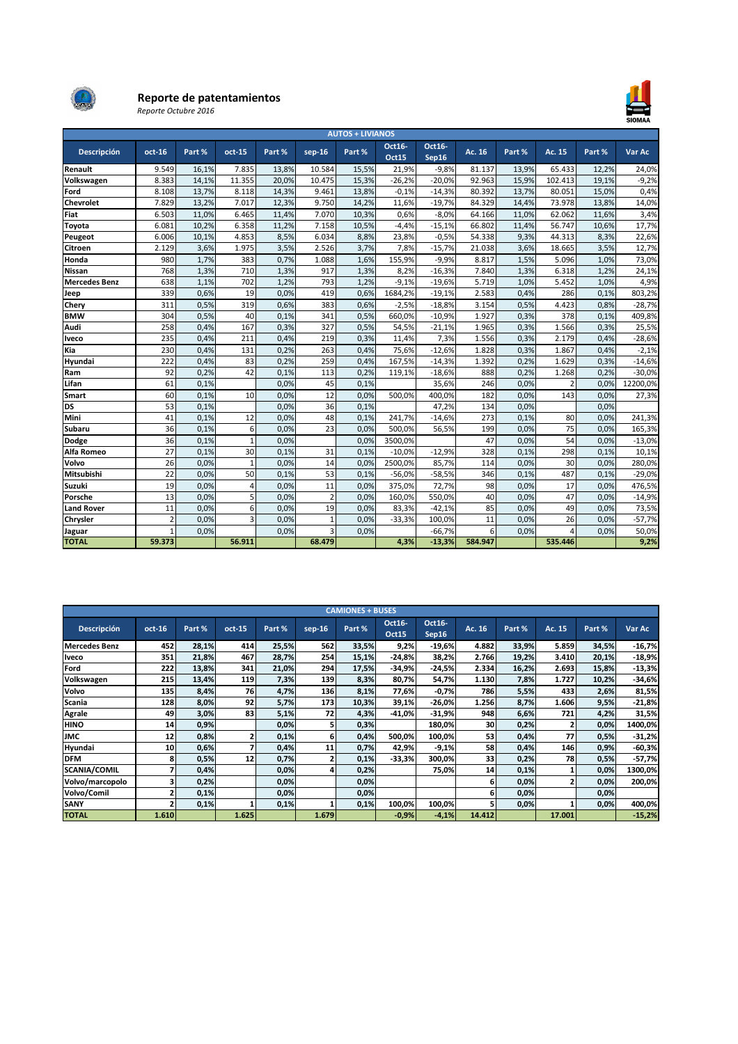

## Reporte de patentamientos

Reporte Octubre 2016



| <b>AUTOS + LIVIANOS</b> |                 |        |                |        |                         |        |                 |                 |         |        |                          |        |          |
|-------------------------|-----------------|--------|----------------|--------|-------------------------|--------|-----------------|-----------------|---------|--------|--------------------------|--------|----------|
| Descripción             | $oct-16$        | Part % | oct-15         | Part % | $sep-16$                | Part % | Oct16-<br>Oct15 | Oct16-<br>Sep16 | Ac. 16  | Part % | Ac. 15                   | Part % | Var Ac   |
| Renault                 | 9.549           | 16,1%  | 7.835          | 13,8%  | 10.584                  | 15,5%  | 21,9%           | $-9,8%$         | 81.137  | 13,9%  | 65.433                   | 12,2%  | 24,0%    |
| Volkswagen              | 8.383           | 14,1%  | 11.355         | 20,0%  | 10.475                  | 15,3%  | $-26,2%$        | $-20,0%$        | 92.963  | 15,9%  | 102.413                  | 19,1%  | $-9,2%$  |
| Ford                    | 8.108           | 13,7%  | 8.118          | 14,3%  | 9.461                   | 13,8%  | $-0.1%$         | $-14,3%$        | 80.392  | 13,7%  | 80.051                   | 15,0%  | 0,4%     |
| <b>Chevrolet</b>        | 7.829           | 13,2%  | 7.017          | 12,3%  | 9.750                   | 14,2%  | 11,6%           | $-19,7%$        | 84.329  | 14,4%  | 73.978                   | 13,8%  | 14,0%    |
| Fiat                    | 6.503           | 11,0%  | 6.465          | 11,4%  | 7.070                   | 10,3%  | 0,6%            | $-8,0%$         | 64.166  | 11,0%  | 62.062                   | 11,6%  | 3,4%     |
| Toyota                  | 6.081           | 10,2%  | 6.358          | 11,2%  | 7.158                   | 10,5%  | $-4,4%$         | $-15,1%$        | 66.802  | 11,4%  | 56.747                   | 10,6%  | 17,7%    |
| Peugeot                 | 6.006           | 10,1%  | 4.853          | 8,5%   | 6.034                   | 8,8%   | 23,8%           | $-0,5%$         | 54.338  | 9,3%   | 44.313                   | 8,3%   | 22,6%    |
| <b>Citroen</b>          | 2.129           | 3,6%   | 1.975          | 3,5%   | 2.526                   | 3,7%   | 7,8%            | $-15,7%$        | 21.038  | 3,6%   | 18.665                   | 3,5%   | 12,7%    |
| Honda                   | 980             | 1,7%   | 383            | 0,7%   | 1.088                   | 1,6%   | 155,9%          | $-9,9%$         | 8.817   | 1,5%   | 5.096                    | 1,0%   | 73,0%    |
| <b>Nissan</b>           | 768             | 1,3%   | 710            | 1,3%   | 917                     | 1,3%   | 8,2%            | $-16,3%$        | 7.840   | 1,3%   | 6.318                    | 1,2%   | 24,1%    |
| <b>Mercedes Benz</b>    | 638             | 1,1%   | 702            | 1,2%   | 793                     | 1,2%   | $-9,1%$         | $-19,6%$        | 5.719   | 1,0%   | 5.452                    | 1,0%   | 4,9%     |
| Jeep                    | 339             | 0,6%   | 19             | 0.0%   | 419                     | 0,6%   | 1684,2%         | $-19,1%$        | 2.583   | 0,4%   | 286                      | 0,1%   | 803,2%   |
| Chery                   | 311             | 0,5%   | 319            | 0,6%   | 383                     | 0,6%   | $-2,5%$         | $-18,8%$        | 3.154   | 0,5%   | 4.423                    | 0,8%   | $-28,7%$ |
| <b>BMW</b>              | 304             | 0,5%   | 40             | 0,1%   | 341                     | 0,5%   | 660,0%          | $-10,9%$        | 1.927   | 0,3%   | 378                      | 0,1%   | 409,8%   |
| Audi                    | 258             | 0,4%   | 167            | 0,3%   | 327                     | 0,5%   | 54,5%           | $-21,1%$        | 1.965   | 0,3%   | 1.566                    | 0,3%   | 25,5%    |
| Iveco                   | 235             | 0,4%   | 211            | 0,4%   | 219                     | 0,3%   | 11,4%           | 7,3%            | 1.556   | 0,3%   | 2.179                    | 0,4%   | $-28,6%$ |
| Kia                     | 230             | 0,4%   | 131            | 0,2%   | 263                     | 0,4%   | 75,6%           | $-12,6%$        | 1.828   | 0,3%   | 1.867                    | 0,4%   | $-2,1%$  |
| Hyundai                 | 222             | 0,4%   | 83             | 0,2%   | 259                     | 0,4%   | 167,5%          | $-14,3%$        | 1.392   | 0,2%   | 1.629                    | 0,3%   | $-14,6%$ |
| Ram                     | 92              | 0,2%   | 42             | 0,1%   | 113                     | 0,2%   | 119,1%          | $-18,6%$        | 888     | 0,2%   | 1.268                    | 0,2%   | $-30,0%$ |
| Lifan                   | 61              | 0,1%   |                | 0.0%   | 45                      | 0,1%   |                 | 35,6%           | 246     | 0,0%   | $\overline{\phantom{a}}$ | 0,0%   | 12200,0% |
| Smart                   | 60              | 0,1%   | 10             | 0.0%   | 12                      | 0.0%   | 500,0%          | 400,0%          | 182     | 0,0%   | 143                      | 0,0%   | 27,3%    |
| <b>DS</b>               | 53              | 0,1%   |                | 0.0%   | 36                      | 0,1%   |                 | 47,2%           | 134     | 0,0%   |                          | 0,0%   |          |
| Mini                    | 41              | 0,1%   | 12             | 0.0%   | 48                      | 0,1%   | 241,7%          | $-14,6%$        | 273     | 0,1%   | 80                       | 0,0%   | 241,3%   |
| <b>Subaru</b>           | 36              | 0,1%   | 6              | 0.0%   | 23                      | 0.0%   | 500.0%          | 56,5%           | 199     | 0,0%   | 75                       | 0,0%   | 165,3%   |
| Dodge                   | 36              | 0,1%   | $\overline{1}$ | 0.0%   |                         | 0.0%   | 3500,0%         |                 | 47      | 0,0%   | 54                       | 0,0%   | $-13,0%$ |
| Alfa Romeo              | $\overline{27}$ | 0,1%   | 30             | 0,1%   | 31                      | 0,1%   | $-10,0%$        | $-12,9%$        | 328     | 0,1%   | 298                      | 0,1%   | 10,1%    |
| Volvo                   | 26              | 0,0%   | $\mathbf{1}$   | 0.0%   | 14                      | 0.0%   | 2500,0%         | 85,7%           | 114     | 0,0%   | 30                       | 0,0%   | 280,0%   |
| Mitsubishi              | $\overline{22}$ | 0,0%   | 50             | 0,1%   | 53                      | 0,1%   | $-56,0%$        | $-58,5%$        | 346     | 0,1%   | 487                      | 0,1%   | $-29,0%$ |
| Suzuki                  | 19              | 0,0%   | 4              | 0.0%   | 11                      | 0,0%   | 375,0%          | 72,7%           | 98      | 0,0%   | 17                       | 0,0%   | 476,5%   |
| Porsche                 | 13              | 0,0%   | 5              | 0.0%   | $\overline{2}$          | 0.0%   | 160,0%          | 550,0%          | 40      | 0,0%   | 47                       | 0,0%   | $-14,9%$ |
| <b>Land Rover</b>       | 11              | 0,0%   | 6              | 0.0%   | 19                      | 0.0%   | 83,3%           | $-42,1%$        | 85      | 0,0%   | 49                       | 0,0%   | 73,5%    |
| Chrysler                | $\overline{2}$  | 0,0%   | 3              | 0,0%   | $\mathbf{1}$            | 0,0%   | $-33,3%$        | 100,0%          | 11      | 0,0%   | 26                       | 0,0%   | $-57,7%$ |
| Jaguar                  | 1               | 0,0%   |                | 0,0%   | $\overline{\mathbf{3}}$ | 0,0%   |                 | $-66,7%$        | 6       | 0,0%   | Δ                        | 0,0%   | 50,0%    |
| <b>TOTAL</b>            | 59.373          |        | 56.911         |        | 68.479                  |        | 4,3%            | $-13,3%$        | 584.947 |        | 535.446                  |        | 9,2%     |

| <b>CAMIONES + BUSES</b> |        |        |                |        |          |        |                 |                 |        |        |        |        |          |
|-------------------------|--------|--------|----------------|--------|----------|--------|-----------------|-----------------|--------|--------|--------|--------|----------|
| Descripción             | oct-16 | Part % | $oct-15$       | Part % | $sep-16$ | Part % | Oct16-<br>Oct15 | Oct16-<br>Sep16 | Ac. 16 | Part % | Ac. 15 | Part % | Var Ac   |
| <b>Mercedes Benz</b>    | 452    | 28,1%  | 414            | 25,5%  | 562      | 33,5%  | 9,2%            | $-19,6%$        | 4.882  | 33,9%  | 5.859  | 34,5%  | $-16,7%$ |
| <b>Iveco</b>            | 351    | 21,8%  | 467            | 28,7%  | 254      | 15,1%  | $-24,8%$        | 38,2%           | 2.766  | 19,2%  | 3.410  | 20,1%  | $-18,9%$ |
| Ford                    | 222    | 13,8%  | 341            | 21,0%  | 294      | 17,5%  | $-34,9%$        | $-24,5%$        | 2.334  | 16,2%  | 2.693  | 15,8%  | $-13,3%$ |
| Volkswagen              | 215    | 13,4%  | 119            | 7,3%   | 139      | 8,3%   | 80,7%           | 54,7%           | 1.130  | 7,8%   | 1.727  | 10,2%  | $-34,6%$ |
| Volvo                   | 135    | 8,4%   | 76             | 4,7%   | 136      | 8,1%   | 77,6%           | $-0,7%$         | 786    | 5,5%   | 433    | 2,6%   | 81,5%    |
| Scania                  | 128    | 8,0%   | 92             | 5,7%   | 173      | 10,3%  | 39,1%           | $-26,0%$        | 1.256  | 8,7%   | 1.606  | 9,5%   | $-21,8%$ |
| <b>Agrale</b>           | 49     | 3,0%   | 83             | 5,1%   | 72       | 4,3%   | $-41,0%$        | $-31,9%$        | 948    | 6,6%   | 721    | 4,2%   | 31,5%    |
| <b>HINO</b>             | 14     | 0,9%   |                | 0,0%   | 5        | 0,3%   |                 | 180,0%          | 30     | 0,2%   |        | 0,0%   | 1400,0%  |
| <b>JMC</b>              | 12     | 0,8%   | $\overline{2}$ | 0,1%   | 6        | 0,4%   | 500,0%          | 100,0%          | 53     | 0,4%   | 77     | 0,5%   | $-31,2%$ |
| Hyundai                 | 10     | 0,6%   |                | 0,4%   | 11       | 0,7%   | 42,9%           | $-9,1%$         | 58     | 0,4%   | 146    | 0,9%   | $-60,3%$ |
| <b>DFM</b>              | 8      | 0,5%   | 12             | 0,7%   |          | 0,1%   | $-33,3%$        | 300,0%          | 33     | 0,2%   | 78     | 0,5%   | $-57,7%$ |
| <b>SCANIA/COMIL</b>     | 7      | 0,4%   |                | 0,0%   | 4        | 0,2%   |                 | 75,0%           | 14     | 0,1%   |        | 0,0%   | 1300,0%  |
| Volvo/marcopolo         | 3      | 0,2%   |                | 0,0%   |          | 0,0%   |                 |                 | 6      | 0,0%   |        | 0,0%   | 200,0%   |
| Volvo/Comil             | 2      | 0,1%   |                | 0,0%   |          | 0,0%   |                 |                 | 6      | 0,0%   |        | 0,0%   |          |
| <b>SANY</b>             | 2      | 0,1%   |                | 0,1%   |          | 0,1%   | 100,0%          | 100,0%          |        | 0,0%   |        | 0,0%   | 400,0%   |
| <b>TOTAL</b>            | 1.610  |        | 1.625          |        | 1.679    |        | $-0,9%$         | $-4,1%$         | 14.412 |        | 17.001 |        | $-15,2%$ |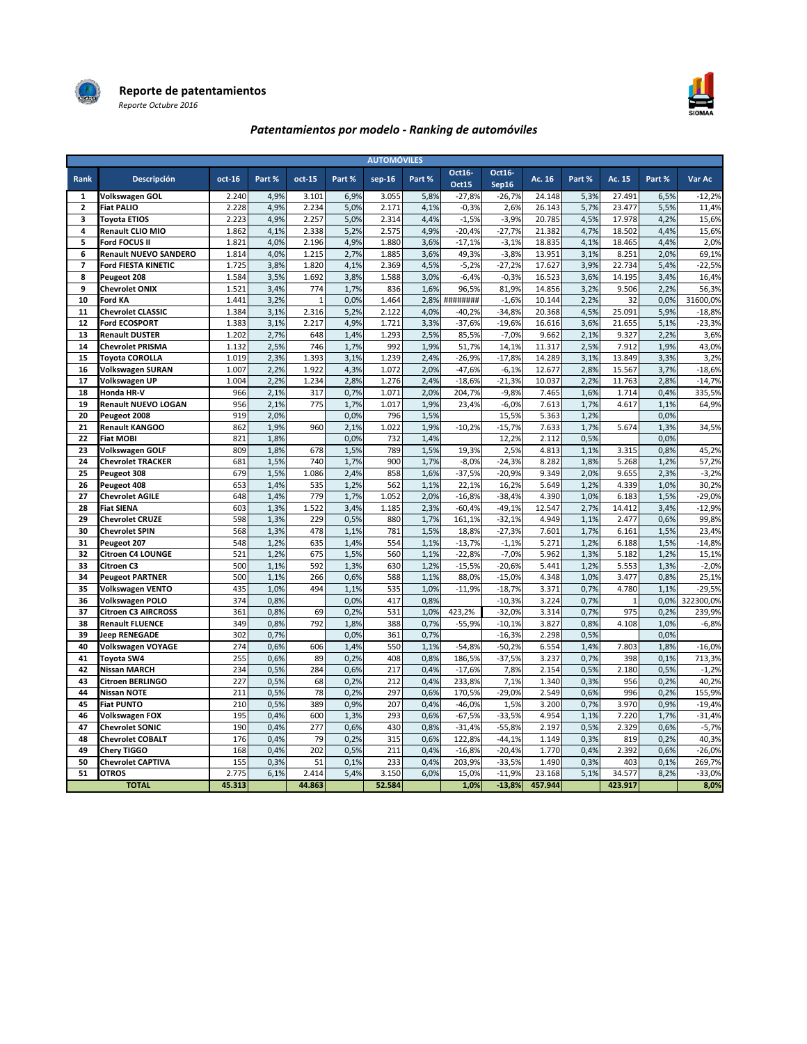



## Patentamientos por modelo - Ranking de automóviles

| <b>AUTOMÓVILES</b>      |                              |        |        |                |        |          |        |                 |                 |         |        |              |        |           |
|-------------------------|------------------------------|--------|--------|----------------|--------|----------|--------|-----------------|-----------------|---------|--------|--------------|--------|-----------|
| Rank                    | Descripción                  | oct-16 | Part % | $oct-15$       | Part % | $sep-16$ | Part % | Oct16-<br>Oct15 | Oct16-<br>Sep16 | Ac. 16  | Part % | Ac. 15       | Part % | Var Ac    |
| 1                       | Volkswagen GOL               | 2.240  | 4,9%   | 3.101          | 6,9%   | 3.055    | 5,8%   | $-27,8%$        | $-26,7%$        | 24.148  | 5,3%   | 27.491       | 6,5%   | $-12,2%$  |
| $\overline{2}$          | <b>Fiat PALIO</b>            | 2.228  | 4,9%   | 2.234          | 5,0%   | 2.171    | 4,1%   | $-0,3%$         | 2,6%            | 26.143  | 5,7%   | 23.477       | 5,5%   | 11,4%     |
| 3                       | <b>Toyota ETIOS</b>          | 2.223  | 4,9%   | 2.257          | 5,0%   | 2.314    | 4,4%   | $-1,5%$         | $-3,9%$         | 20.785  | 4,5%   | 17.978       | 4,2%   | 15,6%     |
| $\overline{\mathbf{4}}$ | <b>Renault CLIO MIO</b>      | 1.862  | 4,1%   | 2.338          | 5,2%   | 2.575    | 4,9%   | $-20,4%$        | $-27,7%$        | 21.382  | 4,7%   | 18.502       | 4,4%   | 15,6%     |
| 5                       | Ford FOCUS II                | 1.821  | 4,0%   | 2.196          | 4,9%   | 1.880    | 3,6%   | $-17,1%$        | $-3,1%$         | 18.835  | 4,1%   | 18.465       | 4,4%   | 2,0%      |
| 6                       | <b>Renault NUEVO SANDERO</b> | 1.814  | 4,0%   | 1.215          | 2,7%   | 1.885    | 3,6%   | 49,3%           | $-3,8%$         | 13.951  | 3,1%   | 8.251        | 2,0%   | 69,1%     |
| $\overline{7}$          | <b>Ford FIESTA KINETIC</b>   | 1.725  | 3,8%   | 1.820          | 4,1%   | 2.369    | 4,5%   | $-5,2%$         | $-27,2%$        | 17.627  | 3,9%   | 22.734       | 5,4%   | $-22,5%$  |
| 8                       | Peugeot 208                  | 1.584  | 3,5%   | 1.692          | 3,8%   | 1.588    | 3,0%   | $-6,4%$         | $-0,3%$         | 16.523  | 3,6%   | 14.195       | 3,4%   | 16,4%     |
| 9                       | <b>Chevrolet ONIX</b>        | 1.521  | 3,4%   | 774            | 1,7%   | 836      | 1,6%   | 96,5%           | 81,9%           | 14.856  | 3,2%   | 9.506        | 2,2%   | 56,3%     |
| 10                      | <b>Ford KA</b>               | 1.441  | 3,2%   | $\overline{1}$ | 0,0%   | 1.464    | 2,8%   | ########        | $-1,6%$         | 10.144  | 2,2%   | 32           | 0,0%   | 31600,0%  |
| 11                      | <b>Chevrolet CLASSIC</b>     | 1.384  | 3,1%   | 2.316          | 5,2%   | 2.122    | 4.0%   | $-40,2%$        | $-34,8%$        | 20.368  | 4,5%   | 25.091       | 5,9%   | $-18,8%$  |
| 12                      | <b>Ford ECOSPORT</b>         | 1.383  | 3,1%   | 2.217          | 4,9%   | 1.721    | 3,3%   | $-37,6%$        | $-19,6%$        | 16.616  | 3,6%   | 21.655       | 5,1%   | $-23,3%$  |
| 13                      | <b>Renault DUSTER</b>        | 1.202  | 2,7%   | 648            | 1,4%   | 1.293    | 2,5%   | 85,5%           | $-7.0%$         | 9.662   | 2,1%   | 9.327        | 2,2%   | 3,6%      |
| 14                      | <b>Chevrolet PRISMA</b>      | 1.132  | 2,5%   | 746            | 1,7%   | 992      | 1,9%   | 51,7%           | 14,1%           | 11.317  | 2,5%   | 7.912        | 1,9%   | 43,0%     |
| 15                      | <b>Toyota COROLLA</b>        | 1.019  | 2,3%   | 1.393          | 3,1%   | 1.239    | 2,4%   | $-26,9%$        | $-17,8%$        | 14.289  | 3,1%   | 13.849       | 3,3%   | 3,2%      |
| 16                      | Volkswagen SURAN             | 1.007  | 2,2%   | 1.922          | 4,3%   | 1.072    | 2,0%   | $-47.6%$        | $-6,1%$         | 12.677  | 2,8%   | 15.567       | 3,7%   | $-18,6%$  |
| 17                      | Volkswagen UP                | 1.004  | 2,2%   | 1.234          | 2,8%   | 1.276    | 2,4%   | $-18,6%$        | $-21,3%$        | 10.037  | 2,2%   | 11.763       | 2,8%   | $-14,7%$  |
| 18                      | Honda HR-V                   | 966    | 2,1%   | 317            | 0,7%   | 1.071    | 2,0%   | 204,7%          | $-9,8%$         | 7.465   | 1,6%   | 1.714        | 0,4%   | 335,5%    |
| 19                      | <b>Renault NUEVO LOGAN</b>   | 956    | 2,1%   | 775            | 1,7%   | 1.017    | 1,9%   | 23,4%           | $-6,0%$         | 7.613   | 1,7%   | 4.617        | 1,1%   | 64,9%     |
| 20                      | Peugeot 2008                 | 919    | 2,0%   |                | 0,0%   | 796      | 1,5%   |                 | 15,5%           | 5.363   | 1,2%   |              | 0,0%   |           |
| 21                      | <b>Renault KANGOO</b>        | 862    | 1,9%   | 960            | 2,1%   | 1.022    | 1,9%   | $-10,2%$        | $-15,7%$        | 7.633   | 1,7%   | 5.674        | 1,3%   | 34,5%     |
| 22                      | <b>Fiat MOBI</b>             | 821    | 1,8%   |                | 0,0%   | 732      | 1,4%   |                 | 12,2%           | 2.112   | 0,5%   |              | 0,0%   |           |
| 23                      | Volkswagen GOLF              | 809    | 1,8%   | 678            | 1,5%   | 789      | 1,5%   | 19,3%           | 2,5%            | 4.813   | 1,1%   | 3.315        | 0,8%   | 45,2%     |
| 24                      | <b>Chevrolet TRACKER</b>     | 681    | 1,5%   | 740            | 1,7%   | 900      | 1,7%   | $-8,0%$         | $-24,3%$        | 8.282   | 1,8%   | 5.268        | 1,2%   | 57,2%     |
| 25                      | Peugeot 308                  | 679    | 1,5%   | 1.086          | 2,4%   | 858      | 1,6%   | $-37,5%$        | $-20,9%$        | 9.349   | 2,0%   | 9.655        | 2,3%   | $-3,2%$   |
| 26                      | Peugeot 408                  | 653    | 1,4%   | 535            | 1,2%   | 562      | 1,1%   | 22,1%           | 16,2%           | 5.649   | 1,2%   | 4.339        | 1,0%   | 30,2%     |
| 27                      | <b>Chevrolet AGILE</b>       | 648    | 1,4%   | 779            | 1,7%   | 1.052    | 2,0%   | $-16,8%$        | $-38,4%$        | 4.390   | 1,0%   | 6.183        | 1,5%   | $-29,0%$  |
| 28                      | <b>Fiat SIENA</b>            | 603    | 1,3%   | 1.522          | 3,4%   | 1.185    | 2,3%   | $-60.4%$        | $-49,1%$        | 12.547  | 2,7%   | 14.412       | 3,4%   | $-12,9%$  |
| 29                      | <b>Chevrolet CRUZE</b>       | 598    | 1,3%   | 229            | 0,5%   | 880      | 1,7%   | 161,1%          | $-32,1%$        | 4.949   | 1,1%   | 2.477        | 0,6%   | 99,8%     |
| 30                      | <b>Chevrolet SPIN</b>        | 568    | 1,3%   | 478            | 1,1%   | 781      | 1,5%   | 18,8%           | $-27,3%$        | 7.601   | 1,7%   | 6.161        | 1,5%   | 23,4%     |
| 31                      | Peugeot 207                  | 548    | 1,2%   | 635            | 1,4%   | 554      | 1,1%   | $-13,7%$        | $-1,1%$         | 5.271   | 1,2%   | 6.188        | 1,5%   | $-14,8%$  |
| 32                      | <b>Citroen C4 LOUNGE</b>     | 521    | 1,2%   | 675            | 1,5%   | 560      | 1,1%   | $-22,8%$        | $-7,0%$         | 5.962   | 1,3%   | 5.182        | 1,2%   | 15,1%     |
| 33                      | Citroen C3                   | 500    | 1,1%   | 592            | 1,3%   | 630      | 1,2%   | $-15,5%$        | $-20,6%$        | 5.441   | 1,2%   | 5.553        | 1,3%   | $-2,0%$   |
| 34                      | <b>Peugeot PARTNER</b>       | 500    | 1,1%   | 266            | 0,6%   | 588      | 1,1%   | 88.0%           | $-15,0%$        | 4.348   | 1.0%   | 3.477        | 0,8%   | 25,1%     |
| 35                      | <b>Volkswagen VENTO</b>      | 435    | 1,0%   | 494            | 1,1%   | 535      | 1,0%   | $-11,9%$        | $-18,7%$        | 3.371   | 0,7%   | 4.780        | 1,1%   | $-29,5%$  |
| 36                      | Volkswagen POLO              | 374    | 0,8%   |                | 0,0%   | 417      | 0,8%   |                 | $-10,3%$        | 3.224   | 0,7%   | $\mathbf{1}$ | 0,0%   | 322300,0% |
| 37                      | <b>Citroen C3 AIRCROSS</b>   | 361    | 0.8%   | 69             | 0,2%   | 531      | 1,0%   | 423,2%          | $-32,0%$        | 3.314   | 0,7%   | 975          | 0,2%   | 239,9%    |
| 38                      | <b>Renault FLUENCE</b>       | 349    | 0,8%   | 792            | 1,8%   | 388      | 0,7%   | $-55,9%$        | $-10,1%$        | 3.827   | 0,8%   | 4.108        | 1,0%   | $-6,8%$   |
| 39                      | <b>Jeep RENEGADE</b>         | 302    | 0,7%   |                | 0,0%   | 361      | 0,7%   |                 | $-16,3%$        | 2.298   | 0,5%   |              | 0,0%   |           |
| 40                      | Volkswagen VOYAGE            | 274    | 0,6%   | 606            | 1,4%   | 550      | 1,1%   | $-54,8%$        | $-50,2%$        | 6.554   | 1,4%   | 7.803        | 1,8%   | $-16,0%$  |
| 41                      | <b>Toyota SW4</b>            | 255    | 0,6%   | 89             | 0,2%   | 408      | 0,8%   | 186,5%          | $-37,5%$        | 3.237   | 0,7%   | 398          | 0,1%   | 713,3%    |
| 42                      | <b>Nissan MARCH</b>          | 234    | 0,5%   | 284            | 0,6%   | 217      | 0,4%   | $-17,6%$        | 7,8%            | 2.154   | 0,5%   | 2.180        | 0,5%   | $-1,2%$   |
| 43                      | Citroen BERLINGO             | 227    | 0,5%   | 68             | 0,2%   | 212      | 0,4%   | 233,8%          | 7,1%            | 1.340   | 0,3%   | 956          | 0,2%   | 40,2%     |
| 44                      | <b>Nissan NOTE</b>           | 211    | 0,5%   | 78             | 0,2%   | 297      | 0,6%   | 170,5%          | $-29,0%$        | 2.549   | 0,6%   | 996          | 0,2%   | 155,9%    |
| 45                      | <b>Fiat PUNTO</b>            | 210    | 0,5%   | 389            | 0,9%   | 207      | 0,4%   | $-46,0%$        | 1,5%            | 3.200   | 0,7%   | 3.970        | 0,9%   | $-19,4%$  |
| 46                      | Volkswagen FOX               | 195    | 0,4%   | 600            | 1,3%   | 293      | 0,6%   | $-67,5%$        | $-33,5%$        | 4.954   | 1,1%   | 7.220        | 1,7%   | $-31,4%$  |
| 47                      | <b>Chevrolet SONIC</b>       | 190    | 0,4%   | 277            | 0,6%   | 430      | 0,8%   | $-31,4%$        | $-55,8%$        | 2.197   | 0,5%   | 2.329        | 0,6%   | $-5,7%$   |
| 48                      | <b>Chevrolet COBALT</b>      | 176    | 0,4%   | 79             | 0,2%   | 315      | 0,6%   | 122,8%          | $-44,1%$        | 1.149   | 0,3%   | 819          | 0,2%   | 40,3%     |
| 49                      | Chery TIGGO                  | 168    | 0,4%   | 202            | 0,5%   | 211      | 0,4%   | $-16,8%$        | $-20,4%$        | 1.770   | 0,4%   | 2.392        | 0,6%   | $-26,0%$  |
| 50                      | <b>Chevrolet CAPTIVA</b>     | 155    | 0,3%   | 51             | 0,1%   | 233      | 0,4%   | 203,9%          | $-33,5%$        | 1.490   | 0,3%   | 403          | 0,1%   | 269,7%    |
| 51                      | <b>OTROS</b>                 | 2.775  | 6,1%   | 2.414          | 5,4%   | 3.150    | 6,0%   | 15,0%           | $-11,9%$        | 23.168  | 5,1%   | 34.577       | 8,2%   | $-33,0%$  |
|                         | <b>TOTAL</b>                 | 45.313 |        | 44.863         |        | 52.584   |        | 1,0%            | $-13,8%$        | 457.944 |        | 423.917      |        | 8,0%      |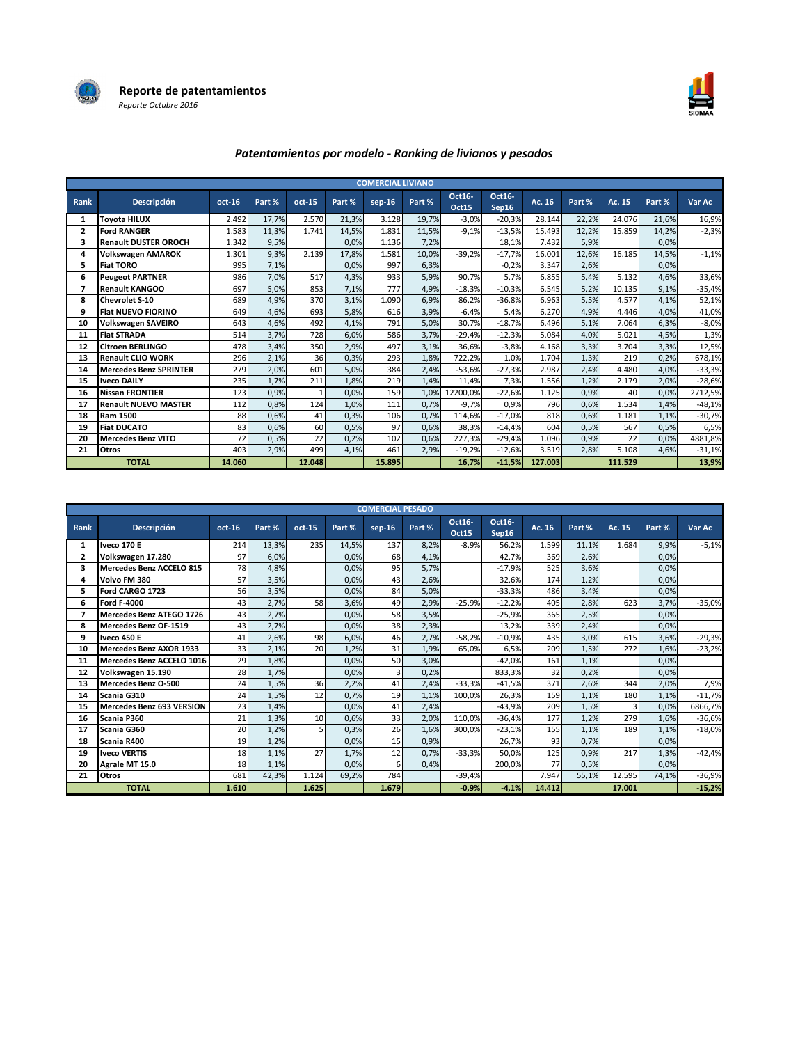



## Patentamientos por modelo - Ranking de livianos y pesados

|                |                               |        |        |        |        | <b>COMERCIAL LIVIANO</b> |        |                        |                 |         |        |         |        |          |
|----------------|-------------------------------|--------|--------|--------|--------|--------------------------|--------|------------------------|-----------------|---------|--------|---------|--------|----------|
| Rank           | Descripción                   | oct-16 | Part % | oct-15 | Part % | $sep-16$                 | Part % | Oct16-<br><b>Oct15</b> | Oct16-<br>Sep16 | Ac. 16  | Part % | Ac. 15  | Part % | Var Ac   |
| 1              | Tovota HILUX                  | 2.492  | 17,7%  | 2.570  | 21,3%  | 3.128                    | 19,7%  | $-3,0%$                | $-20,3%$        | 28.144  | 22,2%  | 24.076  | 21,6%  | 16,9%    |
| $\overline{2}$ | <b>Ford RANGER</b>            | 1.583  | 11,3%  | 1.741  | 14,5%  | 1.831                    | 11,5%  | $-9,1%$                | $-13,5%$        | 15.493  | 12,2%  | 15.859  | 14.2%  | $-2,3%$  |
| 3              | <b>Renault DUSTER OROCH</b>   | 1.342  | 9,5%   |        | 0,0%   | 1.136                    | 7,2%   |                        | 18.1%           | 7.432   | 5,9%   |         | 0.0%   |          |
| 4              | <b>Volkswagen AMAROK</b>      | 1.301  | 9,3%   | 2.139  | 17.8%  | 1.581                    | 10,0%  | $-39,2%$               | $-17.7%$        | 16.001  | 12,6%  | 16.185  | 14.5%  | $-1,1%$  |
| 5              | <b>Fiat TORO</b>              | 995    | 7,1%   |        | 0,0%   | 997                      | 6,3%   |                        | $-0,2%$         | 3.347   | 2,6%   |         | 0.0%   |          |
| 6              | <b>Peugeot PARTNER</b>        | 986    | 7,0%   | 517    | 4,3%   | 933                      | 5,9%   | 90,7%                  | 5,7%            | 6.855   | 5,4%   | 5.132   | 4,6%   | 33,6%    |
|                | <b>Renault KANGOO</b>         | 697    | 5,0%   | 853    | 7,1%   | 777                      | 4,9%   | $-18,3%$               | $-10,3%$        | 6.545   | 5,2%   | 10.135  | 9,1%   | $-35,4%$ |
| 8              | <b>Chevrolet S-10</b>         | 689    | 4,9%   | 370    | 3,1%   | 1.090                    | 6,9%   | 86,2%                  | $-36,8%$        | 6.963   | 5,5%   | 4.577   | 4,1%   | 52,1%    |
| 9              | <b>Fiat NUEVO FIORINO</b>     | 649    | 4,6%   | 693    | 5,8%   | 616                      | 3,9%   | $-6,4%$                | 5,4%            | 6.270   | 4,9%   | 4.446   | 4,0%   | 41,0%    |
| 10             | <b>Volkswagen SAVEIRO</b>     | 643    | 4,6%   | 492    | 4,1%   | 791                      | 5,0%   | 30,7%                  | $-18,7%$        | 6.496   | 5,1%   | 7.064   | 6,3%   | $-8,0%$  |
| 11             | <b>Fiat STRADA</b>            | 514    | 3,7%   | 728    | 6,0%   | 586                      | 3,7%   | $-29,4%$               | $-12,3%$        | 5.084   | 4,0%   | 5.021   | 4,5%   | 1,3%     |
| 12             | <b>Citroen BERLINGO</b>       | 478    | 3,4%   | 350    | 2,9%   | 497                      | 3,1%   | 36,6%                  | $-3,8%$         | 4.168   | 3,3%   | 3.704   | 3,3%   | 12,5%    |
| 13             | <b>Renault CLIO WORK</b>      | 296    | 2,1%   | 36     | 0,3%   | 293                      | 1,8%   | 722,2%                 | 1,0%            | 1.704   | 1,3%   | 219     | 0,2%   | 678,1%   |
| 14             | <b>Mercedes Benz SPRINTER</b> | 279    | 2,0%   | 601    | 5,0%   | 384                      | 2,4%   | $-53,6%$               | $-27,3%$        | 2.987   | 2,4%   | 4.480   | 4,0%   | $-33,3%$ |
| 15             | <b>Iveco DAILY</b>            | 235    | 1,7%   | 211    | 1,8%   | 219                      | 1,4%   | 11,4%                  | 7,3%            | 1.556   | 1,2%   | 2.179   | 2,0%   | $-28,6%$ |
| 16             | <b>Nissan FRONTIER</b>        | 123    | 0,9%   |        | 0.0%   | 159                      | 1,0%   | 12200,0%               | $-22,6%$        | 1.125   | 0,9%   | 40      | 0,0%   | 2712,5%  |
| 17             | <b>Renault NUEVO MASTER</b>   | 112    | 0,8%   | 124    | 1,0%   | 111                      | 0,7%   | $-9,7%$                | 0,9%            | 796     | 0,6%   | 1.534   | 1,4%   | $-48,1%$ |
| 18             | <b>Ram 1500</b>               | 88     | 0,6%   | 41     | 0,3%   | 106                      | 0,7%   | 114,6%                 | $-17,0%$        | 818     | 0,6%   | 1.181   | 1,1%   | $-30,7%$ |
| 19             | <b>Fiat DUCATO</b>            | 83     | 0,6%   | 60     | 0,5%   | 97                       | 0,6%   | 38,3%                  | $-14,4%$        | 604     | 0,5%   | 567     | 0,5%   | 6,5%     |
| 20             | <b>Mercedes Benz VITO</b>     | 72     | 0,5%   | 22     | 0,2%   | 102                      | 0,6%   | 227,3%                 | $-29,4%$        | 1.096   | 0,9%   | 22      | 0,0%   | 4881,8%  |
| 21             | <b>Otros</b>                  | 403    | 2,9%   | 499    | 4,1%   | 461                      | 2,9%   | $-19,2%$               | $-12,6%$        | 3.519   | 2,8%   | 5.108   | 4,6%   | $-31,1%$ |
|                | <b>TOTAL</b>                  | 14.060 |        | 12.048 |        | 15.895                   |        | 16,7%                  | $-11.5%$        | 127.003 |        | 111.529 |        | 13,9%    |

| <b>COMERCIAL PESADO</b> |                                  |          |        |        |        |          |        |                        |                 |        |        |        |        |          |
|-------------------------|----------------------------------|----------|--------|--------|--------|----------|--------|------------------------|-----------------|--------|--------|--------|--------|----------|
| Rank                    | <b>Descripción</b>               | $oct-16$ | Part % | oct-15 | Part % | $sep-16$ | Part % | Oct16-<br><b>Oct15</b> | Oct16-<br>Sep16 | Ac. 16 | Part % | Ac. 15 | Part % | Var Ac   |
| 1                       | <b>Iveco 170 E</b>               | 214      | 13,3%  | 235    | 14,5%  | 137      | 8,2%   | $-8,9%$                | 56,2%           | 1.599  | 11,1%  | 1.684  | 9,9%   | $-5,1%$  |
| 2                       | Volkswagen 17.280                | 97       | 6,0%   |        | 0.0%   | 68       | 4,1%   |                        | 42,7%           | 369    | 2,6%   |        | 0,0%   |          |
| 3                       | <b>Mercedes Benz ACCELO 815</b>  | 78       | 4,8%   |        | 0,0%   | 95       | 5,7%   |                        | $-17,9%$        | 525    | 3,6%   |        | 0.0%   |          |
| 4                       | Volvo FM 380                     | 57       | 3,5%   |        | 0,0%   | 43       | 2,6%   |                        | 32,6%           | 174    | 1,2%   |        | 0,0%   |          |
| 5.                      | Ford CARGO 1723                  | 56       | 3,5%   |        | 0,0%   | 84       | 5,0%   |                        | $-33,3%$        | 486    | 3,4%   |        | 0,0%   |          |
| 6                       | <b>Ford F-4000</b>               | 43       | 2,7%   | 58     | 3,6%   | 49       | 2,9%   | $-25,9%$               | $-12.2%$        | 405    | 2,8%   | 623    | 3,7%   | $-35,0%$ |
| 7                       | Mercedes Benz ATEGO 1726         | 43       | 2,7%   |        | 0.0%   | 58       | 3,5%   |                        | $-25,9%$        | 365    | 2,5%   |        | 0.0%   |          |
| 8                       | Mercedes Benz OF-1519            | 43       | 2,7%   |        | 0.0%   | 38       | 2,3%   |                        | 13.2%           | 339    | 2,4%   |        | 0.0%   |          |
| 9                       | <b>Iveco 450 E</b>               | 41       | 2,6%   | 98     | 6.0%   | 46       | 2,7%   | $-58,2%$               | $-10,9%$        | 435    | 3,0%   | 615    | 3,6%   | $-29,3%$ |
| 10                      | Mercedes Benz AXOR 1933          | 33       | 2,1%   | 20     | 1.2%   | 31       | 1,9%   | 65.0%                  | 6.5%            | 209    | 1,5%   | 272    | 1.6%   | $-23,2%$ |
| 11                      | Mercedes Benz ACCELO 1016        | 29       | 1,8%   |        | 0,0%   | 50       | 3,0%   |                        | -42,0%          | 161    | 1,1%   |        | 0.0%   |          |
| 12                      | Volkswagen 15.190                | 28       | 1,7%   |        | 0.0%   |          | 0,2%   |                        | 833.3%          | 32     | 0,2%   |        | 0.0%   |          |
| 13                      | Mercedes Benz O-500              | 24       | 1,5%   | 36     | 2,2%   | 41       | 2,4%   | $-33,3%$               | $-41,5%$        | 371    | 2,6%   | 344    | 2,0%   | 7,9%     |
| 14                      | Scania G310                      | 24       | 1,5%   | 12     | 0.7%   | 19       | 1,1%   | 100.0%                 | 26.3%           | 159    | 1,1%   | 180    | 1,1%   | $-11,7%$ |
| 15                      | <b>Mercedes Benz 693 VERSION</b> | 23       | 1,4%   |        | 0.0%   | 41       | 2,4%   |                        | $-43.9%$        | 209    | 1,5%   | 3      | 0.0%   | 6866,7%  |
| 16                      | Scania P360                      | 21       | 1,3%   | 10     | 0,6%   | 33       | 2,0%   | 110.0%                 | $-36,4%$        | 177    | 1,2%   | 279    | 1,6%   | $-36,6%$ |
| 17                      | Scania G360                      | 20       | 1,2%   |        | 0.3%   | 26       | 1,6%   | 300,0%                 | $-23,1%$        | 155    | 1,1%   | 189    | 1,1%   | $-18,0%$ |
| 18                      | Scania R400                      | 19       | 1,2%   |        | 0,0%   | 15       | 0,9%   |                        | 26,7%           | 93     | 0,7%   |        | 0,0%   |          |
| 19                      | <b>Iveco VERTIS</b>              | 18       | 1.1%   | 27     | 1,7%   | 12       | 0.7%   | $-33.3%$               | 50.0%           | 125    | 0,9%   | 217    | 1,3%   | $-42,4%$ |
| 20                      | Agrale MT 15.0                   | 18       | 1,1%   |        | 0,0%   | 6        | 0,4%   |                        | 200,0%          | 77     | 0,5%   |        | 0,0%   |          |
| 21                      | Otros                            | 681      | 42,3%  | 1.124  | 69,2%  | 784      |        | $-39,4%$               |                 | 7.947  | 55,1%  | 12.595 | 74,1%  | $-36,9%$ |
|                         | <b>TOTAL</b>                     | 1.610    |        | 1.625  |        | 1.679    |        | $-0.9%$                | $-4,1%$         | 14.412 |        | 17.001 |        | $-15,2%$ |